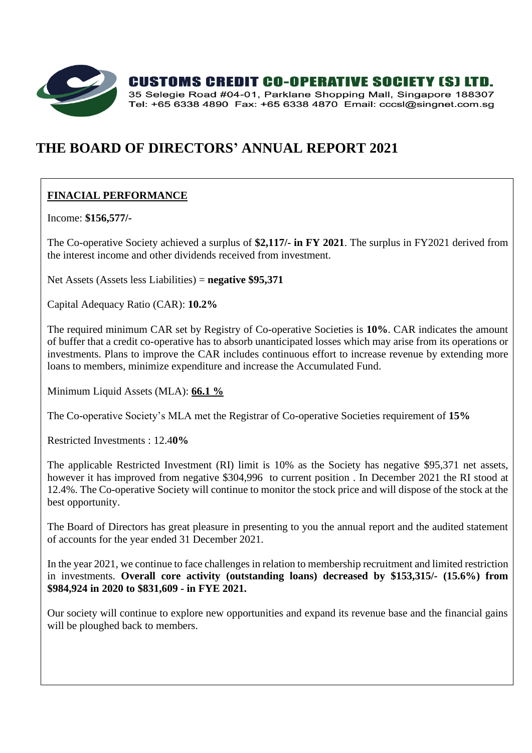

**CUSTOMS CREDIT CO-OPERATIVE SOCIETY [S] LTD.** 

35 Selegie Road #04-01, Parklane Shopping Mall, Singapore 188307 Tel: +65 6338 4890 Fax: +65 6338 4870 Email: cccsl@singnet.com.sq

# **THE BOARD OF DIRECTORS' ANNUAL REPORT 2021**

# **FINACIAL PERFORMANCE**

Income: **\$156,577/-**

The Co-operative Society achieved a surplus of **\$2,117/- in FY 2021**. The surplus in FY2021 derived from the interest income and other dividends received from investment.

Net Assets (Assets less Liabilities) = **negative \$95,371**

Capital Adequacy Ratio (CAR): **10.2%**

The required minimum CAR set by Registry of Co-operative Societies is **10%**. CAR indicates the amount of buffer that a credit co-operative has to absorb unanticipated losses which may arise from its operations or investments. Plans to improve the CAR includes continuous effort to increase revenue by extending more loans to members, minimize expenditure and increase the Accumulated Fund.

Minimum Liquid Assets (MLA): **66.1 %**

The Co-operative Society's MLA met the Registrar of Co-operative Societies requirement of **15%**

Restricted Investments : 12.4**0%**

The applicable Restricted Investment (RI) limit is 10% as the Society has negative \$95,371 net assets, however it has improved from negative \$304,996 to current position . In December 2021 the RI stood at 12.4%. The Co-operative Society will continue to monitor the stock price and will dispose of the stock at the best opportunity.

The Board of Directors has great pleasure in presenting to you the annual report and the audited statement of accounts for the year ended 31 December 2021.

In the year 2021, we continue to face challenges in relation to membership recruitment and limited restriction in investments. **Overall core activity (outstanding loans) decreased by \$153,315/- (15.6%) from \$984,924 in 2020 to \$831,609 - in FYE 2021.**

Our society will continue to explore new opportunities and expand its revenue base and the financial gains will be ploughed back to members.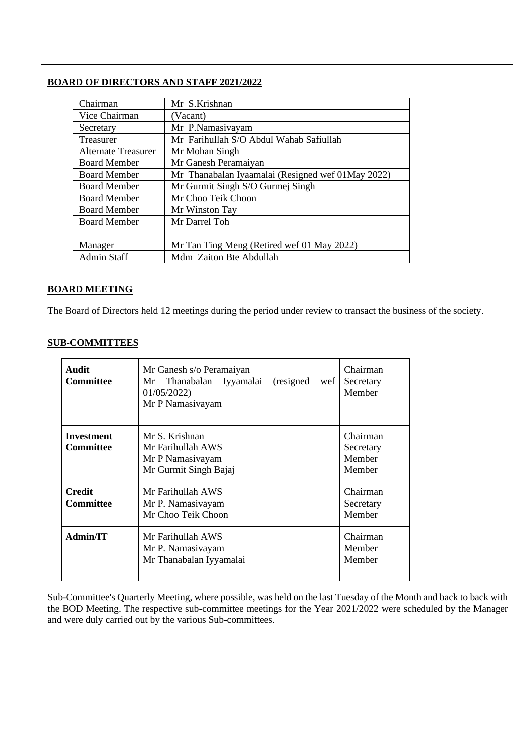# **BOARD OF DIRECTORS AND STAFF 2021/2022**

| Chairman                   | Mr S.Krishnan                                     |
|----------------------------|---------------------------------------------------|
| Vice Chairman              | (Vacant)                                          |
| Secretary                  | Mr P.Namasivayam                                  |
| Treasurer                  | Mr Farihullah S/O Abdul Wahab Safiullah           |
| <b>Alternate Treasurer</b> | Mr Mohan Singh                                    |
| <b>Board Member</b>        | Mr Ganesh Peramaiyan                              |
| <b>Board Member</b>        | Mr Thanabalan Iyaamalai (Resigned wef 01May 2022) |
| <b>Board Member</b>        | Mr Gurmit Singh S/O Gurmej Singh                  |
| <b>Board Member</b>        | Mr Choo Teik Choon                                |
| <b>Board Member</b>        | Mr Winston Tay                                    |
| <b>Board Member</b>        | Mr Darrel Toh                                     |
|                            |                                                   |
| Manager                    | Mr Tan Ting Meng (Retired wef 01 May 2022)        |
| <b>Admin Staff</b>         | Mdm Zaiton Bte Abdullah                           |

# **BOARD MEETING**

The Board of Directors held 12 meetings during the period under review to transact the business of the society.

# **SUB-COMMITTEES**

| <b>Audit</b><br>Committee             | Mr Ganesh s/o Peramaiyan<br>(resigned)<br>Thanabalan Iyyamalai<br>Mr<br>wef<br>01/05/2022<br>Mr P Namasiyayam | Chairman<br>Secretary<br>Member           |
|---------------------------------------|---------------------------------------------------------------------------------------------------------------|-------------------------------------------|
| <b>Investment</b><br><b>Committee</b> | Mr S. Krishnan<br>Mr Farihullah AWS<br>Mr P Namasiyayam<br>Mr Gurmit Singh Bajaj                              | Chairman<br>Secretary<br>Member<br>Member |
| <b>Credit</b><br>Committee            | Mr Farihullah AWS<br>Mr P. Namasiyayam<br>Mr Choo Teik Choon                                                  | Chairman<br>Secretary<br>Member           |
| <b>Admin/IT</b>                       | Mr Farihullah AWS<br>Mr P. Namasiyayam<br>Mr Thanabalan Iyyamalai                                             | Chairman<br>Member<br>Member              |

Sub-Committee's Quarterly Meeting, where possible, was held on the last Tuesday of the Month and back to back with the BOD Meeting. The respective sub-committee meetings for the Year 2021/2022 were scheduled by the Manager and were duly carried out by the various Sub-committees.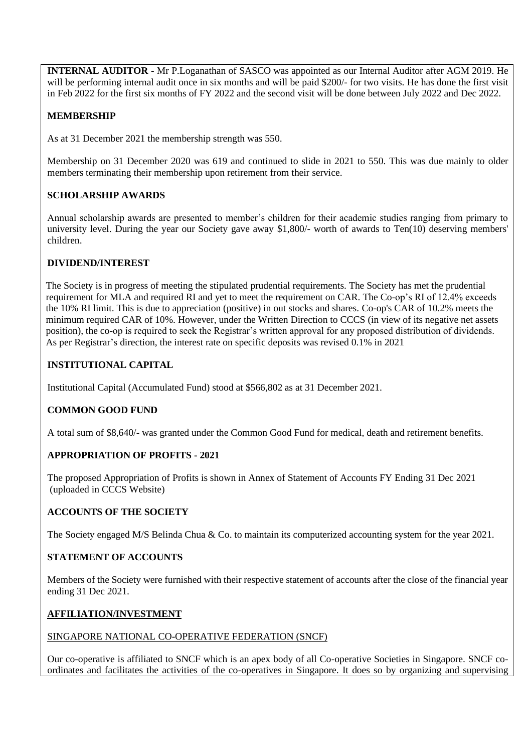**INTERNAL AUDITOR** - Mr P.Loganathan of SASCO was appointed as our Internal Auditor after AGM 2019. He will be performing internal audit once in six months and will be paid \$200/- for two visits. He has done the first visit in Feb 2022 for the first six months of FY 2022 and the second visit will be done between July 2022 and Dec 2022.

# **MEMBERSHIP**

As at 31 December 2021 the membership strength was 550.

Membership on 31 December 2020 was 619 and continued to slide in 2021 to 550. This was due mainly to older members terminating their membership upon retirement from their service.

#### **SCHOLARSHIP AWARDS**

Annual scholarship awards are presented to member's children for their academic studies ranging from primary to university level. During the year our Society gave away \$1,800/- worth of awards to Ten(10) deserving members' children.

#### **DIVIDEND/INTEREST**

The Society is in progress of meeting the stipulated prudential requirements. The Society has met the prudential requirement for MLA and required RI and yet to meet the requirement on CAR. The Co-op's RI of 12.4% exceeds the 10% RI limit. This is due to appreciation (positive) in out stocks and shares. Co-op's CAR of 10.2% meets the minimum required CAR of 10%. However, under the Written Direction to CCCS (in view of its negative net assets position), the co-op is required to seek the Registrar's written approval for any proposed distribution of dividends. As per Registrar's direction, the interest rate on specific deposits was revised 0.1% in 2021

#### **INSTITUTIONAL CAPITAL**

Institutional Capital (Accumulated Fund) stood at \$566,802 as at 31 December 2021.

#### **COMMON GOOD FUND**

A total sum of \$8,640/- was granted under the Common Good Fund for medical, death and retirement benefits.

#### **APPROPRIATION OF PROFITS - 2021**

The proposed Appropriation of Profits is shown in Annex of Statement of Accounts FY Ending 31 Dec 2021 (uploaded in CCCS Website)

#### **ACCOUNTS OF THE SOCIETY**

The Society engaged M/S Belinda Chua & Co. to maintain its computerized accounting system for the year 2021.

#### **STATEMENT OF ACCOUNTS**

Members of the Society were furnished with their respective statement of accounts after the close of the financial year ending 31 Dec 2021.

#### **AFFILIATION/INVESTMENT**

#### SINGAPORE NATIONAL CO-OPERATIVE FEDERATION (SNCF)

Our co-operative is affiliated to SNCF which is an apex body of all Co-operative Societies in Singapore. SNCF coordinates and facilitates the activities of the co-operatives in Singapore. It does so by organizing and supervising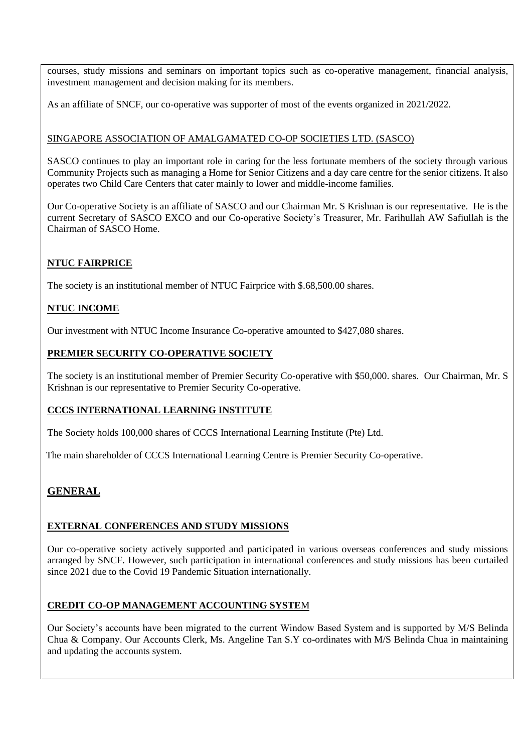courses, study missions and seminars on important topics such as co-operative management, financial analysis, investment management and decision making for its members.

As an affiliate of SNCF, our co-operative was supporter of most of the events organized in 2021/2022.

#### SINGAPORE ASSOCIATION OF AMALGAMATED CO-OP SOCIETIES LTD. (SASCO)

SASCO continues to play an important role in caring for the less fortunate members of the society through various Community Projects such as managing a Home for Senior Citizens and a day care centre for the senior citizens. It also operates two Child Care Centers that cater mainly to lower and middle-income families.

Our Co-operative Society is an affiliate of SASCO and our Chairman Mr. S Krishnan is our representative. He is the current Secretary of SASCO EXCO and our Co-operative Society's Treasurer, Mr. Farihullah AW Safiullah is the Chairman of SASCO Home.

# **NTUC FAIRPRICE**

The society is an institutional member of NTUC Fairprice with \$.68,500.00 shares.

# **NTUC INCOME**

Our investment with NTUC Income Insurance Co-operative amounted to \$427,080 shares.

#### **PREMIER SECURITY CO-OPERATIVE SOCIETY**

The society is an institutional member of Premier Security Co-operative with \$50,000. shares. Our Chairman, Mr. S Krishnan is our representative to Premier Security Co-operative.

#### **CCCS INTERNATIONAL LEARNING INSTITUTE**

The Society holds 100,000 shares of CCCS International Learning Institute (Pte) Ltd.

The main shareholder of CCCS International Learning Centre is Premier Security Co-operative.

# **GENERAL**

#### **EXTERNAL CONFERENCES AND STUDY MISSIONS**

Our co-operative society actively supported and participated in various overseas conferences and study missions arranged by SNCF. However, such participation in international conferences and study missions has been curtailed since 2021 due to the Covid 19 Pandemic Situation internationally.

#### **CREDIT CO-OP MANAGEMENT ACCOUNTING SYSTE**M

Our Society's accounts have been migrated to the current Window Based System and is supported by M/S Belinda Chua & Company. Our Accounts Clerk, Ms. Angeline Tan S.Y co-ordinates with M/S Belinda Chua in maintaining and updating the accounts system.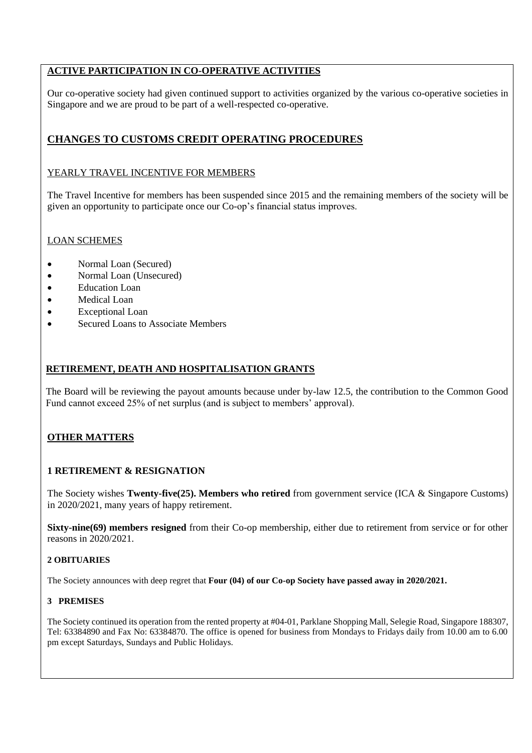# **ACTIVE PARTICIPATION IN CO-OPERATIVE ACTIVITIES**

Our co-operative society had given continued support to activities organized by the various co-operative societies in Singapore and we are proud to be part of a well-respected co-operative.

# **CHANGES TO CUSTOMS CREDIT OPERATING PROCEDURES**

#### YEARLY TRAVEL INCENTIVE FOR MEMBERS

The Travel Incentive for members has been suspended since 2015 and the remaining members of the society will be given an opportunity to participate once our Co-op's financial status improves.

#### LOAN SCHEMES

- Normal Loan (Secured)
- Normal Loan (Unsecured)
- **Education Loan**
- Medical Loan
- **Exceptional Loan**
- Secured Loans to Associate Members

#### **RETIREMENT, DEATH AND HOSPITALISATION GRANTS**

The Board will be reviewing the payout amounts because under by-law 12.5, the contribution to the Common Good Fund cannot exceed 25% of net surplus (and is subject to members' approval).

#### **OTHER MATTERS**

#### **1 RETIREMENT & RESIGNATION**

The Society wishes **Twenty-five(25). Members who retired** from government service (ICA & Singapore Customs) in 2020/2021, many years of happy retirement.

**Sixty-nine(69) members resigned** from their Co-op membership, either due to retirement from service or for other reasons in 2020/2021.

#### **2 OBITUARIES**

The Society announces with deep regret that **Four (04) of our Co-op Society have passed away in 2020/2021.**

#### **3 PREMISES**

The Society continued its operation from the rented property at #04-01, Parklane Shopping Mall, Selegie Road, Singapore 188307, Tel: 63384890 and Fax No: 63384870. The office is opened for business from Mondays to Fridays daily from 10.00 am to 6.00 pm except Saturdays, Sundays and Public Holidays.